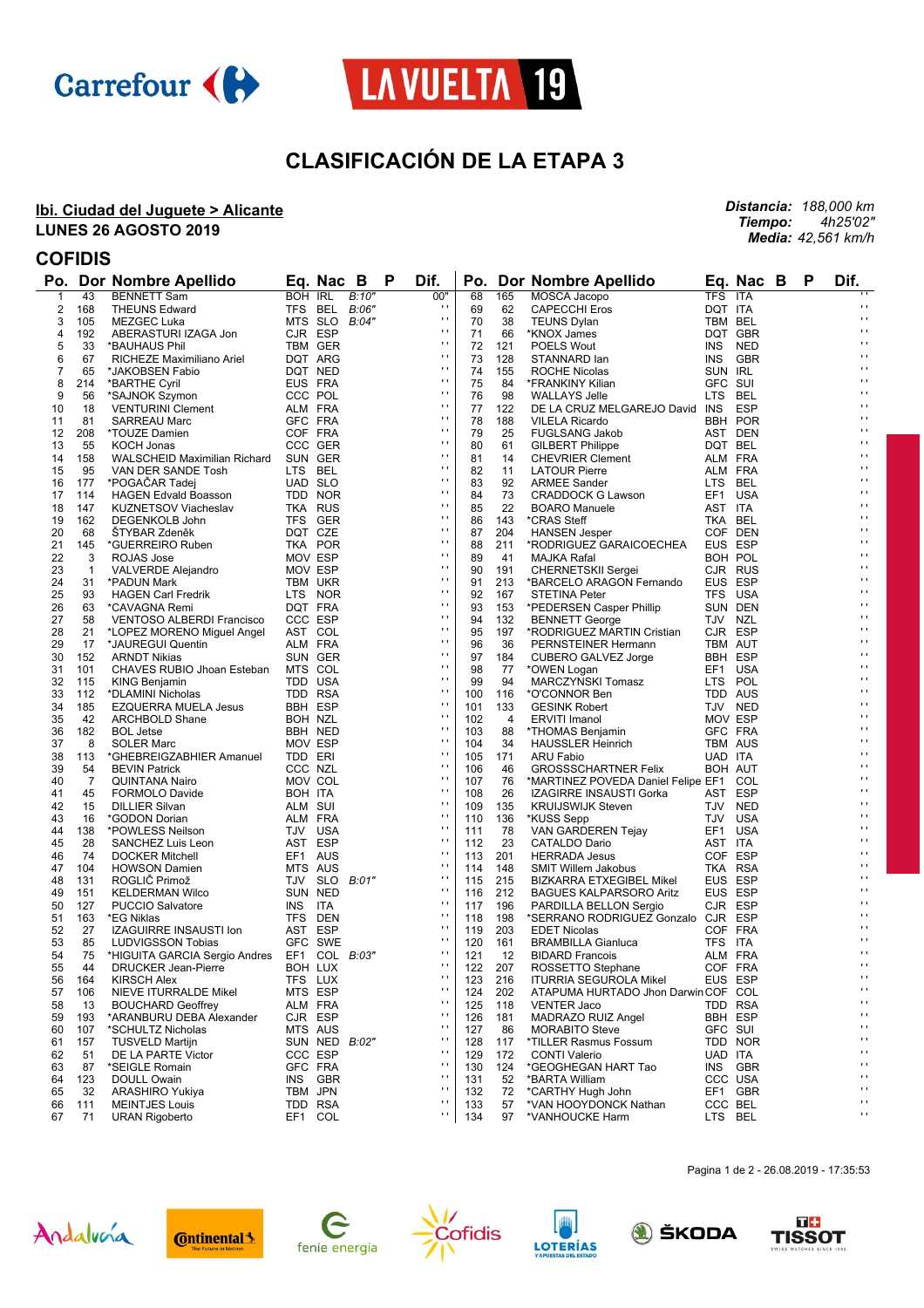



# **CLASIFICACIÓN DE LA ETAPA 3**

### **Ibi. Ciudad del Juguete > Alicante LUNES 26 AGOSTO 2019**

*Distancia: 188,000 km Tiempo: 4h25'02" Media: 42,561 km/h*

## **COFIDIS**

|              |              | Po. Dor Nombre Apellido                          |                | Eq. Nac B     |       | Р | Dif.           | Po. |                | Dor Nombre Apellido                          |            | Eq. Nac B      | P | Dif.                |
|--------------|--------------|--------------------------------------------------|----------------|---------------|-------|---|----------------|-----|----------------|----------------------------------------------|------------|----------------|---|---------------------|
| $\mathbf{1}$ | 43           | <b>BENNETT Sam</b>                               | BOH IRL        |               | B:10" |   | 00"            | 68  | 165            | MOSCA Jacopo                                 | <b>TFS</b> | ITA            |   |                     |
| 2            | 168          | <b>THEUNS Edward</b>                             |                | TFS BEL B:06" |       |   | $\blacksquare$ | 69  | 62             | <b>CAPECCHI Eros</b>                         | DQT ITA    |                |   | $\cdot$             |
| 3            | 105          | <b>MEZGEC Luka</b>                               | MTS SLO        |               | B:04" |   | $\mathbf{r}$   | 70  | 38             | <b>TEUNS Dylan</b>                           | TBM BEL    |                |   | $\mathbf{r}$        |
| 4            | 192          | ABERASTURI IZAGA Jon                             | CJR ESP        |               |       |   | $\mathbf{r}$   | 71  | 66             | *KNOX James                                  |            | DQT GBR        |   | $\mathbf{r}$        |
| 5            | 33           | *BAUHAUS Phil                                    | TBM GER        |               |       |   | $\cdot$        | 72  | 121            | <b>POELS Wout</b>                            | INS.       | NED            |   | $\mathbf{r}$        |
| 6            | 67           | RICHEZE Maximiliano Ariel                        | DQT ARG        |               |       |   | $\mathbf{r}$   | 73  | 128            | STANNARD lan                                 |            | INS GBR        |   | $\blacksquare$      |
| 7            | 65           | *JAKOBSEN Fabio                                  | DQT NED        |               |       |   | $\mathbf{r}$   | 74  | 155            | ROCHE Nicolas                                | SUN IRL    |                |   | $\blacksquare$      |
| 8            | 214          | *BARTHE Cyril                                    | EUS FRA        |               |       |   | $\cdot$        | 75  | 84             | *FRANKINY Kilian                             | GFC SUI    |                |   | $\mathbf{r}$        |
| 9            | 56           | *SAJNOK Szymon                                   | CCC POL        |               |       |   | $\mathbf{r}$   | 76  | 98             | <b>WALLAYS Jelle</b>                         | LTS BEL    |                |   | $\blacksquare$      |
| 10           | 18           | <b>VENTURINI Clement</b>                         | ALM FRA        |               |       |   | $\mathbf{r}$   | 77  | 122            | DE LA CRUZ MELGAREJO David INS ESP           |            |                |   | $\blacksquare$      |
| 11           | 81           | <b>SARREAU Marc</b>                              | GFC FRA        |               |       |   | $\mathbf{r}$   | 78  | 188            | <b>VILELA Ricardo</b>                        |            | <b>BBH POR</b> |   | $\blacksquare$      |
| 12           | 208          | *TOUZE Damien                                    | COF FRA        |               |       |   | $\mathbf{r}$   | 79  | 25             | <b>FUGLSANG Jakob</b>                        |            | AST DEN        |   | $\cdot$             |
| 13           | 55           | KOCH Jonas                                       | CCC GER        |               |       |   | $\mathbf{r}$   | 80  | 61             | <b>GILBERT Philippe</b>                      | DQT BEL    |                |   | $\blacksquare$      |
| 14           | 158          | WALSCHEID Maximilian Richard                     | SUN GER        |               |       |   | $\cdot$        | 81  | 14             | <b>CHEVRIER Clement</b>                      | ALM FRA    |                |   | $\mathbf{r}$        |
| 15           | 95           | VAN DER SANDE Tosh                               | LTS BEL        |               |       |   | $\mathbf{r}$   | 82  | 11             | <b>LATOUR Pierre</b>                         |            | ALM FRA        |   | $\cdot$             |
| 16           | 177          | *POGACAR Tadej                                   | <b>UAD SLO</b> |               |       |   | $\mathbf{r}$   | 83  | 92             | <b>ARMEE Sander</b>                          | LTS BEL    |                |   | $\blacksquare$      |
| 17           | 114          | <b>HAGEN Edvald Boasson</b>                      | TDD NOR        |               |       |   | $\mathbf{r}$   | 84  | 73             | CRADDOCK G Lawson                            |            | EF1 USA        |   | $\mathbf{r}$        |
| 18           | 147          | <b>KUZNETSOV Viacheslav</b>                      | TKA RUS        |               |       |   | п              | 85  | 22             | <b>BOARO Manuele</b>                         | AST ITA    |                |   | $\blacksquare$      |
| 19           | 162          | DEGENKOLB John                                   | TFS GER        |               |       |   | $\mathbf{r}$   | 86  | 143            | *CRAS Steff                                  | TKA BEL    |                |   | $\blacksquare$      |
| 20           | 68           | ŠTYBAR Zdeněk                                    | DQT CZE        |               |       |   | $\mathbf{r}$   | 87  | 204            | <b>HANSEN Jesper</b>                         |            | COF DEN        |   | $\mathbf{r}$        |
| 21           | 145          | *GUERREIRO Ruben                                 | TKA POR        |               |       |   | $\mathbf{r}$   | 88  | 211            | *RODRIGUEZ GARAICOECHEA                      |            | EUS ESP        |   | $\cdot$             |
| 22           | 3            | ROJAS Jose                                       | MOV ESP        |               |       |   | $\mathbf{r}$   | 89  | 41             | MAJKA Rafal                                  |            | BOH POL        |   | $\blacksquare$      |
| 23           | $\mathbf{1}$ | VALVERDE Alejandro                               | MOV ESP        |               |       |   | $\cdot$        | 90  | 191            | <b>CHERNETSKII Sergei</b>                    |            | CJR RUS        |   | $\mathbf{r}$        |
| 24           | 31           | *PADUN Mark                                      | TBM UKR        |               |       |   | $\mathbf{r}$   | 91  | 213            | *BARCELO ARAGON Fernando                     |            | EUS ESP        |   | $\cdot$             |
| 25           | 93           | <b>HAGEN Carl Fredrik</b>                        | LTS NOR        |               |       |   | $\mathbf{r}$   | 92  | 167            | <b>STETINA Peter</b>                         |            | TFS USA        |   | $\blacksquare$      |
| 26           | 63           | *CAVAGNA Remi                                    | DQT FRA        |               |       |   | $\cdot$        | 93  | 153            | *PEDERSEN Casper Phillip                     |            | SUN DEN        |   | $\mathbf{r}$        |
| 27           | 58           | <b>VENTOSO ALBERDI Francisco</b>                 | CCC ESP        |               |       |   | $\mathbf{r}$   | 94  | 132            | <b>BENNETT George</b>                        | TJV NZL    |                |   | $\blacksquare$      |
| 28           | 21           | *LOPEZ MORENO Miguel Angel                       | AST COL        |               |       |   | $\mathbf{r}$   | 95  | 197            | *RODRIGUEZ MARTIN Cristian                   |            | CJR ESP        |   | $\blacksquare$      |
| 29           | 17           | *JAUREGUI Quentin                                | ALM FRA        |               |       |   | $\cdot$        | 96  | 36             | PERNSTEINER Hermann                          |            | TBM AUT        |   | $\mathbf{r}$        |
| 30           | 152          | <b>ARNDT Nikias</b>                              | SUN GER        |               |       |   | $\mathbf{r}$   | 97  | 184            | CUBERO GALVEZ Jorge                          |            | <b>BBH ESP</b> |   | $\blacksquare$      |
| 31           | 101          | CHAVES RUBIO Jhoan Esteban                       | MTS COL        |               |       |   | $\mathbf{r}$   | 98  | 77             | *OWEN Logan                                  |            | EF1 USA        |   | $\blacksquare$      |
| 32           | 115          | KING Benjamin                                    | TDD USA        |               |       |   | $\mathbf{r}$   | 99  | 94             | MARCZYNSKI Tomasz                            | LTS POL    |                |   | $\mathbf{r}$        |
| 33           | 112          | *DLAMINI Nicholas                                | TDD RSA        |               |       |   | $\mathbf{r}$   | 100 | 116            | *O'CONNOR Ben                                |            | TDD AUS        |   | $\blacksquare$      |
| 34           | 185          | <b>EZQUERRA MUELA Jesus</b>                      | BBH ESP        |               |       |   | $\mathbf{r}$   | 101 | 133            | <b>GESINK Robert</b>                         |            | TJV NED        |   | $\blacksquare$      |
| 35           | 42           | ARCHBOLD Shane                                   | BOH NZL        |               |       |   | $\mathbf{r}$   | 102 | $\overline{4}$ | <b>ERVITI Imanol</b>                         | MOV ESP    |                |   | $\mathbf{r}$        |
| 36           | 182          | <b>BOL Jetse</b>                                 | BBH NED        |               |       |   | $\mathbf{r}$   | 103 | 88             |                                              |            | GFC FRA        |   | $\blacksquare$      |
| 37           | 8            | SOLER Marc                                       | MOV ESP        |               |       |   | $\mathbf{r}$   | 104 | 34             | *THOMAS Benjamin<br><b>HAUSSLER Heinrich</b> |            | TBM AUS        |   | $\blacksquare$      |
| 38           | 113          |                                                  | TDD ERI        |               |       |   | $\mathbf{r}$   | 105 | 171            |                                              | UAD ITA    |                |   | $\mathbf{r}$        |
| 39           | 54           | *GHEBREIGZABHIER Amanuel<br><b>BEVIN Patrick</b> | CCC NZL        |               |       |   | $\mathbf{r}$   | 106 | 46             | ARU Fabio                                    |            | BOH AUT        |   | $\blacksquare$      |
| 40           | 7            | <b>QUINTANA Nairo</b>                            | MOV COL        |               |       |   | $\mathbf{r}$   | 107 | 76             | <b>GROSSSCHARTNER Felix</b>                  |            |                |   | $\blacksquare$      |
| 41           | 45           |                                                  | BOH ITA        |               |       |   | $\mathbf{r}$   | 108 | 26             | *MARTINEZ POVEDA Daniel Felipe EF1 COL       |            | AST ESP        |   | $\mathbf{r}$        |
| 42           | 15           | <b>FORMOLO Davide</b>                            | ALM SUI        |               |       |   | $\mathbf{r}$   | 109 | 135            | IZAGIRRE INSAUSTI Gorka                      |            | TJV NED        |   | $\cdot$             |
|              |              | <b>DILLIER Silvan</b>                            |                |               |       |   | $\mathbf{r}$   |     |                | <b>KRUIJSWIJK Steven</b>                     |            |                |   | $\blacksquare$      |
| 43           | 16           | *GODON Dorian                                    | ALM FRA        |               |       |   | $\mathbf{r}$   | 110 | 136            | *KUSS Sepp                                   |            | TJV USA        |   | $\mathbf{r}$        |
| 44           | 138          | *POWLESS Neilson                                 | TJV USA        |               |       |   | $\mathbf{r}$   | 111 | 78             | VAN GARDEREN Tejay                           |            | EF1 USA        |   | $\blacksquare$      |
| 45           | 28           | SANCHEZ Luis Leon                                | AST ESP        |               |       |   | $\mathbf{r}$   | 112 | 23             | CATALDO Dario                                | AST ITA    |                |   | $\blacksquare$      |
| 46           | 74           | <b>DOCKER Mitchell</b>                           | EF1 AUS        |               |       |   | $\mathbf{r}$   | 113 | 201            | <b>HERRADA Jesus</b>                         |            | COF ESP        |   | $\mathbf{r}$        |
| 47           | 104          | <b>HOWSON Damien</b>                             | MTS AUS        |               |       |   | $\mathbf{r}$   | 114 | 148            | SMIT Willem Jakobus                          |            | TKA RSA        |   | $\cdot$             |
| 48           | 131          | ROGLIČ Primož                                    |                | TJV SLO B:01" |       |   | $\mathbf{r}$   | 115 | 215            | BIZKARRA ETXEGIBEL Mikel                     |            | EUS ESP        |   | $\blacksquare$      |
| 49           | 151          | <b>KELDERMAN Wilco</b>                           | SUN NED        |               |       |   | $\mathbf{r}$   | 116 | 212            | <b>BAGUES KALPARSORO Aritz</b>               |            | EUS ESP        |   | $\mathbf{r}$        |
| 50           | 127          | <b>PUCCIO Salvatore</b>                          | INS ITA        |               |       |   | $\mathbf{r}$   | 117 | 196            | PARDILLA BELLON Sergio                       |            | CJR ESP        |   | $\cdot$             |
| 51           | 163          | *EG Niklas                                       | TFS DEN        |               |       |   |                | 118 | 198            | *SERRANO RODRIGUEZ Gonzalo CJR ESP           |            |                |   |                     |
| 52           | 27           | IZAGUIRRE INSAUSTI Ion                           | AST ESP        |               |       |   | $\cdots$       | 119 | 203            | <b>EDET Nicolas</b>                          |            | COF FRA        |   | $\mathbf{r}$        |
| 53           | 85           | LUDVIGSSON Tobias                                |                | GFC SWE       |       |   | $\cdot$        | 120 | 161            | <b>BRAMBILLA Gianluca</b>                    | TFS        | ITA            |   | $\mathbf{r}$        |
| 54           | 75           | *HIGUITA GARCIA Sergio Andres                    |                | EF1 COL B:03" |       |   | $\mathbf{r}$   | 121 | 12             | <b>BIDARD Francois</b>                       | ALM FRA    |                |   | $\mathbf{r}$        |
| 55           | 44           | DRUCKER Jean-Pierre                              | BOH LUX        |               |       |   | $\mathbf{r}$   | 122 | 207            | ROSSETTO Stephane                            | COF FRA    |                |   | $\cdot$             |
| 56           | 164          | <b>KIRSCH Alex</b>                               | TFS LUX        |               |       |   | $\cdot$        | 123 | 216            | <b>ITURRIA SEGUROLA Mikel</b>                |            | EUS ESP        |   | $\blacksquare$      |
| 57           | 106          | NIEVE ITURRALDE Mikel                            | MTS ESP        |               |       |   | $\mathbf{r}$   | 124 | 202            | ATAPUMA HURTADO Jhon Darwin COF COL          |            |                |   | $\blacksquare$      |
| 58           | 13           | <b>BOUCHARD Geoffrey</b>                         | ALM FRA        |               |       |   | $\mathbf{r}$   | 125 | 118            | <b>VENTER Jaco</b>                           |            | TDD RSA        |   | $\bar{\phantom{a}}$ |
| 59           | 193          | *ARANBURU DEBA Alexander                         | CJR ESP        |               |       |   | $\cdot$        | 126 | 181            | MADRAZO RUIZ Angel                           |            | BBH ESP        |   | $\mathbf{r}$        |
| 60           | 107          | *SCHULTZ Nicholas                                | MTS AUS        |               |       |   | $\mathbf{r}$   | 127 | 86             | <b>MORABITO Steve</b>                        | GFC SUI    |                |   | $\blacksquare$      |
| 61           | 157          | <b>TUSVELD Martijn</b>                           |                | SUN NED B:02" |       |   | $\cdot$        | 128 | 117            | *TILLER Rasmus Fossum                        |            | TDD NOR        |   | $\blacksquare$      |
| 62           | 51           | DE LA PARTE Victor                               | CCC ESP        |               |       |   | $\cdot$        | 129 | 172            | <b>CONTI Valerio</b>                         | UAD ITA    |                |   | $\blacksquare$      |
| 63           | 87           | *SEIGLE Romain                                   | GFC FRA        |               |       |   | $\mathbf{r}$   | 130 | 124            | *GEOGHEGAN HART Tao                          |            | INS GBR        |   | $\blacksquare$      |
| 64           | 123          | DOULL Owain                                      | INS            | GBR           |       |   | $\blacksquare$ | 131 | 52             | *BARTA William                               |            | CCC USA        |   | $\mathbf{r}$        |
| 65           | 32           | ARASHIRO Yukiya                                  | TBM JPN        |               |       |   | $\cdot$        | 132 | 72             | *CARTHY Hugh John                            |            | EF1 GBR        |   | $\bar{\phantom{a}}$ |
| 66           | 111          | <b>MEINTJES Louis</b>                            | TDD RSA        |               |       |   | $\mathbf{r}$   | 133 | 57             | *VAN HOOYDONCK Nathan                        |            | CCC BEL        |   | $\mathbf{r}$        |
| 67           | 71           | <b>URAN Rigoberto</b>                            | EF1 COL        |               |       |   | $\mathbf{r}$   | 134 | 97             | *VANHOUCKE Harm                              | LTS BEL    |                |   | $\blacksquare$      |















Pagina 1 de 2 - 26.08.2019 - 17:35:53